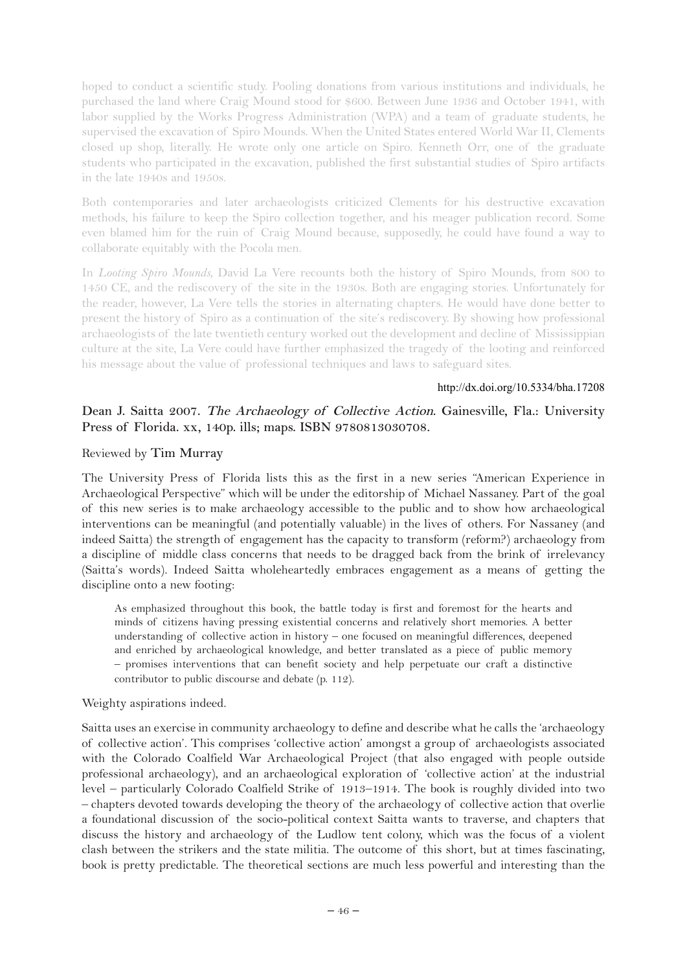hoped to conduct a scientific study. Pooling donations from various institutions and individuals, he purchased the land where Craig Mound stood for \$600. Between June 1936 and October 1941, with labor supplied by the Works Progress Administration (WPA) and a team of graduate students, he supervised the excavation of Spiro Mounds. When the United States entered World War II, Clements closed up shop, literally. He wrote only one article on Spiro. Kenneth Orr, one of the graduate students who participated in the excavation, published the first substantial studies of Spiro artifacts in the late 1940s and 1950s.

Both contemporaries and later archaeologists criticized Clements for his destructive excavation methods, his failure to keep the Spiro collection together, and his meager publication record. Some even blamed him for the ruin of Craig Mound because, supposedly, he could have found a way to collaborate equitably with the Pocola men.

In *Looting Spiro Mounds*, David La Vere recounts both the history of Spiro Mounds, from 800 to 1450 CE, and the rediscovery of the site in the 1930s. Both are engaging stories. Unfortunately for the reader, however, La Vere tells the stories in alternating chapters. He would have done better to present the history of Spiro as a continuation of the site's rediscovery. By showing how professional archaeologists of the late twentieth century worked out the development and decline of Mississippian culture at the site, La Vere could have further emphasized the tragedy of the looting and reinforced his message about the value of professional techniques and laws to safeguard sites.

#### http://dx.doi.org/10.5334/bha.17208

# **Dean J. Saitta 2007. The Archaeology of Collective Action. Gainesville, Fla.: University Press of Florida. xx, 140p. ills; maps. ISBN 9780813030708.**

#### Reviewed by **Tim Murray**

The University Press of Florida lists this as the first in a new series "American Experience in Archaeological Perspective" which will be under the editorship of Michael Nassaney. Part of the goal of this new series is to make archaeology accessible to the public and to show how archaeological interventions can be meaningful (and potentially valuable) in the lives of others. For Nassaney (and indeed Saitta) the strength of engagement has the capacity to transform (reform?) archaeology from a discipline of middle class concerns that needs to be dragged back from the brink of irrelevancy (Saitta's words). Indeed Saitta wholeheartedly embraces engagement as a means of getting the discipline onto a new footing:

As emphasized throughout this book, the battle today is first and foremost for the hearts and minds of citizens having pressing existential concerns and relatively short memories. A better understanding of collective action in history – one focused on meaningful differences, deepened and enriched by archaeological knowledge, and better translated as a piece of public memory – promises interventions that can benefit society and help perpetuate our craft a distinctive contributor to public discourse and debate (p. 112).

Weighty aspirations indeed.

Saitta uses an exercise in community archaeology to define and describe what he calls the 'archaeology of collective action'. This comprises 'collective action' amongst a group of archaeologists associated with the Colorado Coalfield War Archaeological Project (that also engaged with people outside professional archaeology), and an archaeological exploration of 'collective action' at the industrial level – particularly Colorado Coalfield Strike of 1913–1914. The book is roughly divided into two – chapters devoted towards developing the theory of the archaeology of collective action that overlie a foundational discussion of the socio-political context Saitta wants to traverse, and chapters that discuss the history and archaeology of the Ludlow tent colony, which was the focus of a violent clash between the strikers and the state militia. The outcome of this short, but at times fascinating, book is pretty predictable. The theoretical sections are much less powerful and interesting than the